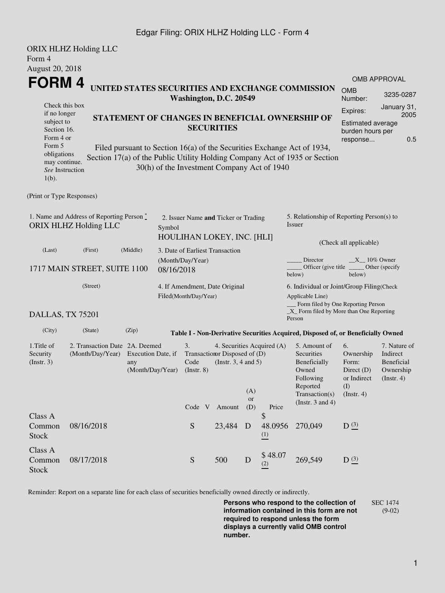### Edgar Filing: ORIX HLHZ Holding LLC - Form 4

|                                                                               | <b>ORIX HLHZ Holding LLC</b>                                                         |                           |                                  |                                                                 |                                             |                  |                 |                                                                                  |                        |                               |  |  |
|-------------------------------------------------------------------------------|--------------------------------------------------------------------------------------|---------------------------|----------------------------------|-----------------------------------------------------------------|---------------------------------------------|------------------|-----------------|----------------------------------------------------------------------------------|------------------------|-------------------------------|--|--|
| Form 4                                                                        |                                                                                      |                           |                                  |                                                                 |                                             |                  |                 |                                                                                  |                        |                               |  |  |
| <b>August 20, 2018</b>                                                        |                                                                                      |                           |                                  |                                                                 |                                             |                  |                 |                                                                                  |                        |                               |  |  |
| FORM 4                                                                        |                                                                                      |                           |                                  |                                                                 |                                             |                  |                 | UNITED STATES SECURITIES AND EXCHANGE COMMISSION                                 |                        | <b>OMB APPROVAL</b>           |  |  |
|                                                                               |                                                                                      |                           |                                  |                                                                 | Washington, D.C. 20549                      |                  |                 |                                                                                  | <b>OMB</b><br>Number:  | 3235-0287                     |  |  |
| Check this box                                                                |                                                                                      |                           |                                  |                                                                 |                                             |                  |                 |                                                                                  | Expires:               | January 31,<br>2005           |  |  |
| if no longer<br>STATEMENT OF CHANGES IN BENEFICIAL OWNERSHIP OF<br>subject to |                                                                                      |                           |                                  |                                                                 |                                             |                  |                 |                                                                                  | Estimated average      |                               |  |  |
| Section 16.                                                                   |                                                                                      |                           |                                  | <b>SECURITIES</b>                                               |                                             | burden hours per |                 |                                                                                  |                        |                               |  |  |
| Form 5                                                                        | Form 4 or<br>Filed pursuant to Section 16(a) of the Securities Exchange Act of 1934, |                           |                                  |                                                                 |                                             |                  |                 |                                                                                  | response               | 0.5                           |  |  |
| obligations                                                                   |                                                                                      |                           |                                  |                                                                 |                                             |                  |                 | Section 17(a) of the Public Utility Holding Company Act of 1935 or Section       |                        |                               |  |  |
| may continue.<br>See Instruction                                              |                                                                                      |                           |                                  |                                                                 | 30(h) of the Investment Company Act of 1940 |                  |                 |                                                                                  |                        |                               |  |  |
| $1(b)$ .                                                                      |                                                                                      |                           |                                  |                                                                 |                                             |                  |                 |                                                                                  |                        |                               |  |  |
| (Print or Type Responses)                                                     |                                                                                      |                           |                                  |                                                                 |                                             |                  |                 |                                                                                  |                        |                               |  |  |
|                                                                               | 1. Name and Address of Reporting Person $\degree$                                    |                           |                                  |                                                                 |                                             |                  |                 | 5. Relationship of Reporting Person(s) to                                        |                        |                               |  |  |
| <b>ORIX HLHZ Holding LLC</b>                                                  |                                                                                      | Symbol                    |                                  | 2. Issuer Name and Ticker or Trading                            |                                             |                  | Issuer          |                                                                                  |                        |                               |  |  |
|                                                                               |                                                                                      |                           |                                  |                                                                 | HOULIHAN LOKEY, INC. [HLI]                  |                  |                 |                                                                                  |                        |                               |  |  |
| (Last)                                                                        | (First)                                                                              | (Middle)                  |                                  |                                                                 | 3. Date of Earliest Transaction             |                  |                 |                                                                                  | (Check all applicable) |                               |  |  |
|                                                                               |                                                                                      |                           | (Month/Day/Year)                 |                                                                 |                                             |                  |                 | Director<br>$X_{10\%}$ Owner                                                     |                        |                               |  |  |
|                                                                               | 1717 MAIN STREET, SUITE 1100                                                         |                           | 08/16/2018                       |                                                                 |                                             |                  |                 | Officer (give title)<br>below)                                                   | below)                 | Other (specify                |  |  |
|                                                                               | (Street)                                                                             |                           |                                  |                                                                 | 4. If Amendment, Date Original              |                  |                 | 6. Individual or Joint/Group Filing(Check                                        |                        |                               |  |  |
|                                                                               |                                                                                      |                           |                                  | Filed(Month/Day/Year)                                           |                                             |                  |                 | Applicable Line)<br>_ Form filed by One Reporting Person                         |                        |                               |  |  |
| DALLAS, TX 75201                                                              |                                                                                      |                           |                                  |                                                                 |                                             |                  |                 | $\_X$ Form filed by More than One Reporting<br>Person                            |                        |                               |  |  |
| (City)                                                                        | (State)                                                                              | (Zip)                     |                                  |                                                                 |                                             |                  |                 | Table I - Non-Derivative Securities Acquired, Disposed of, or Beneficially Owned |                        |                               |  |  |
| 1. Title of                                                                   | 2. Transaction Date 2A. Deemed                                                       |                           | 3.<br>4. Securities Acquired (A) |                                                                 |                                             |                  |                 | 5. Amount of                                                                     | 6.                     | 7. Nature of                  |  |  |
| Security<br>(Insert. 3)                                                       | (Month/Day/Year)                                                                     | Execution Date, if<br>any |                                  | Transaction Disposed of (D)<br>(Instr. $3, 4$ and $5$ )<br>Code |                                             |                  |                 | Securities<br>Beneficially                                                       | Ownership<br>Form:     | Indirect<br><b>Beneficial</b> |  |  |
|                                                                               |                                                                                      | (Month/Day/Year)          |                                  | $($ Instr. $8)$                                                 |                                             |                  |                 | Owned                                                                            | Direct $(D)$           | Ownership                     |  |  |
|                                                                               |                                                                                      |                           |                                  |                                                                 |                                             |                  |                 | Following<br>Reported                                                            | or Indirect            | $($ Instr. 4 $)$              |  |  |
|                                                                               |                                                                                      |                           |                                  |                                                                 |                                             | (A)              |                 | Transaction(s)                                                                   | (I)<br>(Instr. 4)      |                               |  |  |
|                                                                               |                                                                                      |                           |                                  |                                                                 | Code V Amount                               | <b>or</b><br>(D) | Price           | (Instr. $3$ and $4$ )                                                            |                        |                               |  |  |
| Class A                                                                       |                                                                                      |                           |                                  |                                                                 |                                             |                  | \$              |                                                                                  |                        |                               |  |  |
| Common                                                                        | 08/16/2018                                                                           |                           |                                  | S                                                               | 23,484 D                                    |                  | 48.0956         | 270,049                                                                          | D(3)                   |                               |  |  |
| <b>Stock</b>                                                                  |                                                                                      |                           |                                  |                                                                 |                                             |                  | $\frac{(1)}{2}$ |                                                                                  |                        |                               |  |  |
| Class A                                                                       |                                                                                      |                           |                                  |                                                                 |                                             |                  | \$48.07         |                                                                                  |                        |                               |  |  |
| Common<br><b>Stock</b>                                                        | 08/17/2018                                                                           |                           |                                  | ${\mathbf S}$                                                   | 500                                         | D                | (2)             | 269,549                                                                          | D(3)                   |                               |  |  |

Reminder: Report on a separate line for each class of securities beneficially owned directly or indirectly.

**Persons who respond to the collection of information contained in this form are not required to respond unless the form displays a currently valid OMB control number.** SEC 1474 (9-02)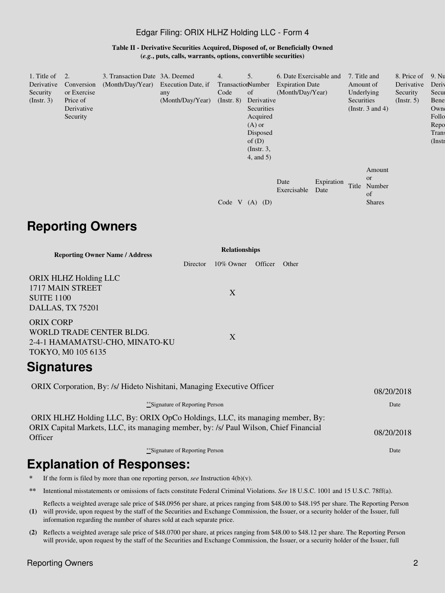#### Edgar Filing: ORIX HLHZ Holding LLC - Form 4

**Table II - Derivative Securities Acquired, Disposed of, or Beneficially Owned (***e.g.***, puts, calls, warrants, options, convertible securities)**

| 1. Title of<br>Derivative<br>Security<br>$($ Instr. 3 $)$ | 2.<br>Conversion<br>or Exercise<br>Price of<br>Derivative<br>Security | 3. Transaction Date 3A. Deemed<br>(Month/Day/Year) Execution Date, if | any<br>(Month/Day/Year) | 4.<br>TransactionNumber<br>Code<br>$($ Instr. $8)$ | 5.<br>of<br>Derivative<br>Securities<br>Acquired<br>$(A)$ or<br>Disposed<br>of $(D)$<br>$($ Instr. 3,<br>$4$ , and $5$ ) | 6. Date Exercisable and<br><b>Expiration Date</b><br>(Month/Day/Year) |                    | 7. Title and<br>Securities | Amount of<br>Underlying<br>(Instr. $3$ and $4$ )         | 8. Price of<br>Derivative<br>Security<br>(Insert. 5) | 9. Nu<br>Deriy<br>Secur<br>Bene<br>Own<br>Follo<br>Repo<br>Trans<br>$($ Instr |
|-----------------------------------------------------------|-----------------------------------------------------------------------|-----------------------------------------------------------------------|-------------------------|----------------------------------------------------|--------------------------------------------------------------------------------------------------------------------------|-----------------------------------------------------------------------|--------------------|----------------------------|----------------------------------------------------------|------------------------------------------------------|-------------------------------------------------------------------------------|
|                                                           |                                                                       |                                                                       |                         | Code V                                             | (D)<br>(A)                                                                                                               | Date<br>Exercisable                                                   | Expiration<br>Date | Title                      | Amount<br><sub>or</sub><br>Number<br>of<br><b>Shares</b> |                                                      |                                                                               |

# **Reporting Owners**

| <b>Reporting Owner Name / Address</b>                                                                |          | <b>Relationships</b> |         |       |
|------------------------------------------------------------------------------------------------------|----------|----------------------|---------|-------|
|                                                                                                      | Director | $10\%$ Owner         | Officer | Other |
| ORIX HLHZ Holding LLC<br>1717 MAIN STREET<br><b>SUITE 1100</b><br>DALLAS, TX 75201                   |          | $\mathbf{X}$         |         |       |
| <b>ORIX CORP</b><br>WORLD TRADE CENTER BLDG.<br>2-4-1 HAMAMATSU-CHO, MINATO-KU<br>TOKYO, M0 105 6135 |          | $\mathbf{X}$         |         |       |
| <b>Signatures</b>                                                                                    |          |                      |         |       |

| ORIX Corporation, By: /s/ Hideto Nishitani, Managing Executive Officer                                                                                                          | 08/20/2018 |
|---------------------------------------------------------------------------------------------------------------------------------------------------------------------------------|------------|
| **Signature of Reporting Person                                                                                                                                                 | Date       |
| ORIX HLHZ Holding LLC, By: ORIX OpCo Holdings, LLC, its managing member, By:<br>ORIX Capital Markets, LLC, its managing member, by: /s/ Paul Wilson, Chief Financial<br>Officer | 08/20/2018 |
| **Signature of Reporting Person                                                                                                                                                 | Date       |
| Evnlanation of Doenancoe:                                                                                                                                                       |            |

## **Explanation of Responses:**

If the form is filed by more than one reporting person, *see* Instruction  $4(b)(v)$ .

**\*\*** Intentional misstatements or omissions of facts constitute Federal Criminal Violations. *See* 18 U.S.C. 1001 and 15 U.S.C. 78ff(a).

**(1)** will provide, upon request by the staff of the Securities and Exchange Commission, the Issuer, or a security holder of the Issuer, full Reflects a weighted average sale price of \$48.0956 per share, at prices ranging from \$48.00 to \$48.195 per share. The Reporting Person information regarding the number of shares sold at each separate price.

**(2)** Reflects a weighted average sale price of \$48.0700 per share, at prices ranging from \$48.00 to \$48.12 per share. The Reporting Person will provide, upon request by the staff of the Securities and Exchange Commission, the Issuer, or a security holder of the Issuer, full